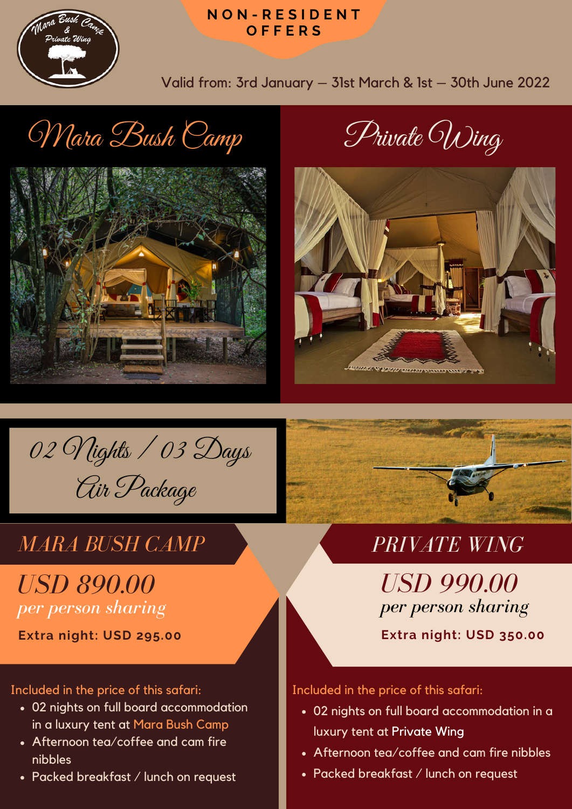

#### **N O N - R E S I D E N T O F F E R S**

Valid from: 3rd January – 31st March & 1st – 30th June 2022

# Mara Bush Camp Private Wing







## *MARA BUSH CAMP PRIVATE WING*

## *USD 890.00 per person sharing*

**Extra night: USD 295.00 Extra night: USD 350.00**

Included in the price of this safari:

- 02 nights on full board accommodation in a luxury tent at Mara Bush Camp
- Afternoon tea/coffee and cam fire nibbles
- Packed breakfast / lunch on request



*USD 990.00 per person sharing*

Included in the price of this safari:

- 02 nights on full board accommodation in a luxury tent at Private Wing
- Afternoon tea/coffee and cam fire nibbles
- Packed breakfast / lunch on request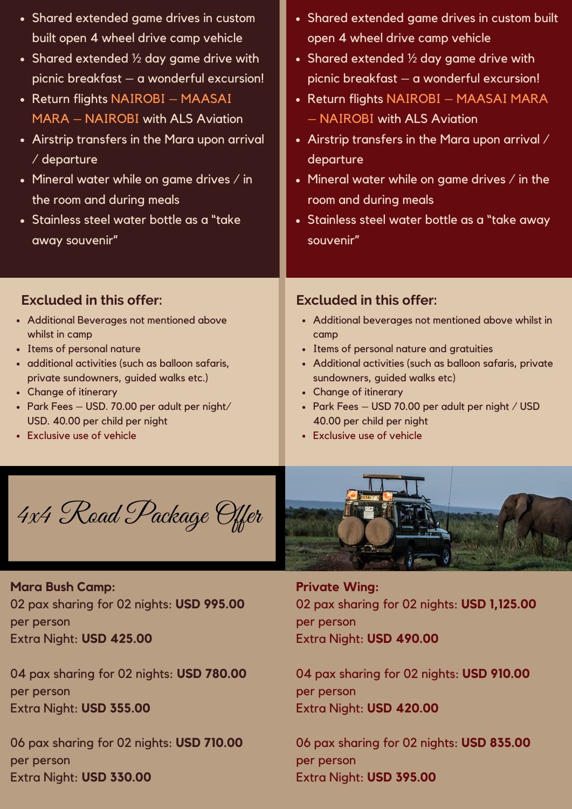| • Shared extended game drives in custom             | • Shared extended game drives in custom built             |
|-----------------------------------------------------|-----------------------------------------------------------|
| built open 4 wheel drive camp vehicle               | open 4 wheel drive camp vehicle                           |
| • Shared extended $\frac{1}{2}$ day game drive with | • Shared extended $\frac{1}{2}$ day game drive with       |
| picnic breakfast - a wonderful excursion!           | picnic breakfast - a wonderful excursion!                 |
| • Return flights NAIROBI - MAASAI                   | • Return flights NAIROBI – MAASAI MARA                    |
| <b>MARA - NAIROBI with ALS Aviation</b>             | - NAIROBI with ALS Aviation                               |
| • Airstrip transfers in the Mara upon arrival       | • Airstrip transfers in the Mara upon arrival $\angle$    |
| / departure                                         | departure                                                 |
| • Mineral water while on game drives $\ell$ in      | • Mineral water while on game drives $\ell$ in the        |
| the room and during meals                           | room and during meals                                     |
| · Stainless steel water bottle as a "take           | • Stainless steel water bottle as a "take away"           |
| away souvenir"                                      | souvenir"                                                 |
| <b>Excluded in this offer:</b>                      | <b>Excluded in this offer:</b>                            |
| • Additional Beverages not mentioned above          | • Additional beverages not mentioned above whilst in      |
| whilst in camp                                      | camp                                                      |
| • Items of personal nature                          | • Items of personal nature and gratuities                 |
| · additional activities (such as balloon safaris,   | • Additional activities (such as balloon safaris, private |
| private sundowners, guided walks etc.)              | sundowners, guided walks etc)                             |
| • Change of itinerary                               | • Change of itinerary                                     |
| · Park Fees - USD. 70.00 per adult per night/       | • Park Fees - USD 70.00 per adult per night / USD         |
| USD. 40.00 per child per night                      | 40.00 per child per night                                 |
| <b>Exclusive use of vehicle</b>                     | • Exclusive use of vehicle                                |
| 4x4 Road Package Offer                              |                                                           |

#### **Mara Bush Camp:**

02 pax sharing for 02 nights: **USD 995.00** per person Extra Night: **USD 425.00**

04 pax sharing for 02 nights: **USD 780.00** per person Extra Night: **USD 355.00**

06 pax sharing for 02 nights: **USD 710.00** per person Extra Night: **USD 330.00**



**Private Wing:** 02 pax sharing for 02 nights: **USD 1,125.00** per person Extra Night: **USD 490.00**

04 pax sharing for 02 nights: **USD 910.00** per person Extra Night: **USD 420.00**

06 pax sharing for 02 nights: **USD 835.00** per person Extra Night: **USD 395.00**